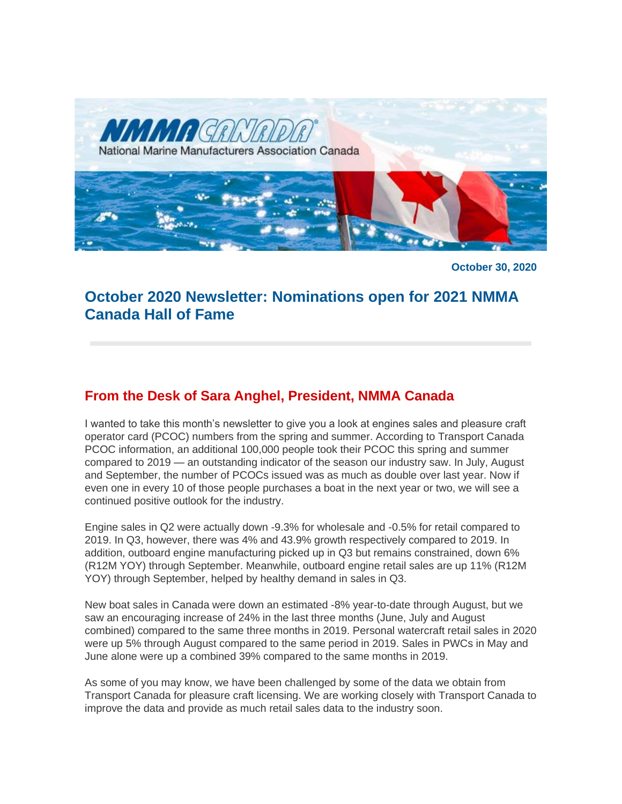

**October 30, 2020**

# **October 2020 Newsletter: Nominations open for 2021 NMMA Canada Hall of Fame**

## **From the Desk of Sara Anghel, President, NMMA Canada**

I wanted to take this month's newsletter to give you a look at engines sales and pleasure craft operator card (PCOC) numbers from the spring and summer. According to Transport Canada PCOC information, an additional 100,000 people took their PCOC this spring and summer compared to 2019 — an outstanding indicator of the season our industry saw. In July, August and September, the number of PCOCs issued was as much as double over last year. Now if even one in every 10 of those people purchases a boat in the next year or two, we will see a continued positive outlook for the industry.

Engine sales in Q2 were actually down -9.3% for wholesale and -0.5% for retail compared to 2019. In Q3, however, there was 4% and 43.9% growth respectively compared to 2019. In addition, outboard engine manufacturing picked up in Q3 but remains constrained, down 6% (R12M YOY) through September. Meanwhile, outboard engine retail sales are up 11% (R12M YOY) through September, helped by healthy demand in sales in Q3.

New boat sales in Canada were down an estimated -8% year-to-date through August, but we saw an encouraging increase of 24% in the last three months (June, July and August combined) compared to the same three months in 2019. Personal watercraft retail sales in 2020 were up 5% through August compared to the same period in 2019. Sales in PWCs in May and June alone were up a combined 39% compared to the same months in 2019.

As some of you may know, we have been challenged by some of the data we obtain from Transport Canada for pleasure craft licensing. We are working closely with Transport Canada to improve the data and provide as much retail sales data to the industry soon.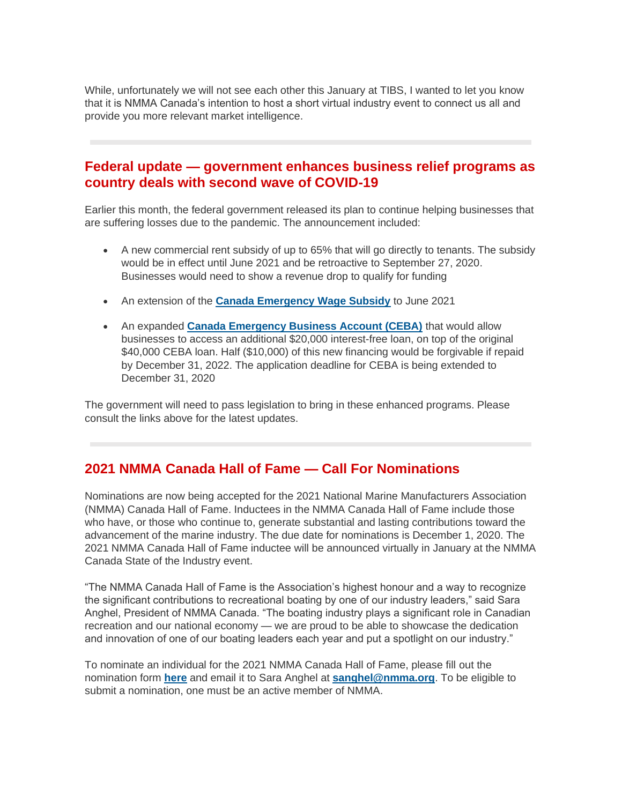While, unfortunately we will not see each other this January at TIBS, I wanted to let you know that it is NMMA Canada's intention to host a short virtual industry event to connect us all and provide you more relevant market intelligence.

### **Federal update — government enhances business relief programs as country deals with second wave of COVID-19**

Earlier this month, the federal government released its plan to continue helping businesses that are suffering losses due to the pandemic. The announcement included:

- A new commercial rent subsidy of up to 65% that will go directly to tenants. The subsidy would be in effect until June 2021 and be retroactive to September 27, 2020. Businesses would need to show a revenue drop to qualify for funding
- An extension of the **[Canada Emergency Wage Subsidy](https://www.canada.ca/en/revenue-agency/services/subsidy/emergency-wage-subsidy.html)** to June 2021
- An expanded **[Canada Emergency Business Account \(CEBA\)](https://ceba-cuec.ca/)** that would allow businesses to access an additional \$20,000 interest-free loan, on top of the original \$40,000 CEBA loan. Half (\$10,000) of this new financing would be forgivable if repaid by December 31, 2022. The application deadline for CEBA is being extended to December 31, 2020

The government will need to pass legislation to bring in these enhanced programs. Please consult the links above for the latest updates.

### **2021 NMMA Canada Hall of Fame — Call For Nominations**

Nominations are now being accepted for the 2021 National Marine Manufacturers Association (NMMA) Canada Hall of Fame. Inductees in the NMMA Canada Hall of Fame include those who have, or those who continue to, generate substantial and lasting contributions toward the advancement of the marine industry. The due date for nominations is December 1, 2020. The 2021 NMMA Canada Hall of Fame inductee will be announced virtually in January at the NMMA Canada State of the Industry event.

"The NMMA Canada Hall of Fame is the Association's highest honour and a way to recognize the significant contributions to recreational boating by one of our industry leaders," said Sara Anghel, President of NMMA Canada. "The boating industry plays a significant role in Canadian recreation and our national economy — we are proud to be able to showcase the dedication and innovation of one of our boating leaders each year and put a spotlight on our industry."

To nominate an individual for the 2021 NMMA Canada Hall of Fame, please fill out the nomination form **[here](http://nmma.net/assets/cabinets/Cabinet486/Hall%20of%20Fame%20Application%20Canada%202020-21.pdf)** and email it to Sara Anghel at **[sanghel@nmma.org](mailto:sanghel@nmma.org)**. To be eligible to submit a nomination, one must be an active member of NMMA.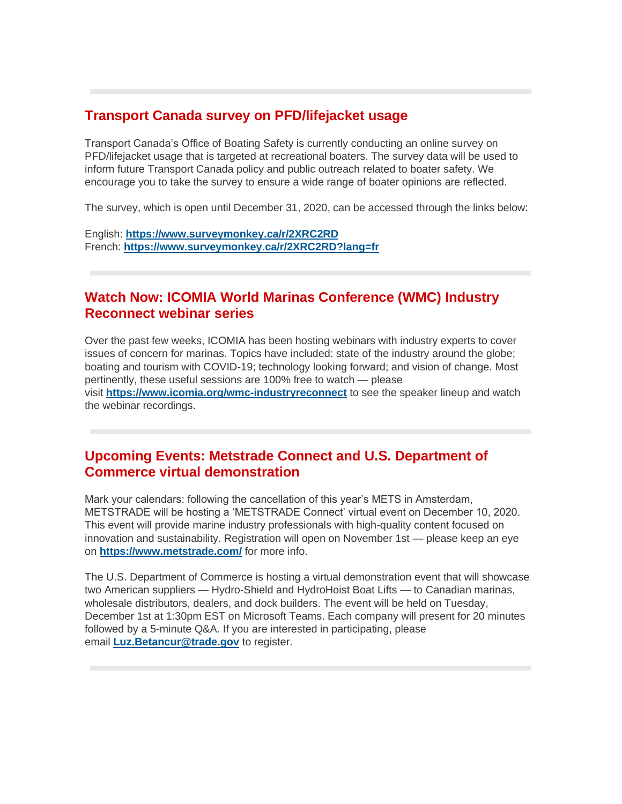## **Transport Canada survey on PFD/lifejacket usage**

Transport Canada's Office of Boating Safety is currently conducting an online survey on PFD/lifejacket usage that is targeted at recreational boaters. The survey data will be used to inform future Transport Canada policy and public outreach related to boater safety. We encourage you to take the survey to ensure a wide range of boater opinions are reflected.

The survey, which is open until December 31, 2020, can be accessed through the links below:

English: **<https://www.surveymonkey.ca/r/2XRC2RD>** French: **<https://www.surveymonkey.ca/r/2XRC2RD?lang=fr>**

## **Watch Now: ICOMIA World Marinas Conference (WMC) Industry Reconnect webinar series**

Over the past few weeks, ICOMIA has been hosting webinars with industry experts to cover issues of concern for marinas. Topics have included: state of the industry around the globe; boating and tourism with COVID-19; technology looking forward; and vision of change. Most pertinently, these useful sessions are 100% free to watch — please visit **<https://www.icomia.org/wmc-industryreconnect>** to see the speaker lineup and watch the webinar recordings.

## **Upcoming Events: Metstrade Connect and U.S. Department of Commerce virtual demonstration**

Mark your calendars: following the cancellation of this year's METS in Amsterdam, METSTRADE will be hosting a 'METSTRADE Connect' virtual event on December 10, 2020. This event will provide marine industry professionals with high-quality content focused on innovation and sustainability. Registration will open on November 1st — please keep an eye on **<https://www.metstrade.com/>** for more info.

The U.S. Department of Commerce is hosting a virtual demonstration event that will showcase two American suppliers — Hydro-Shield and HydroHoist Boat Lifts — to Canadian marinas, wholesale distributors, dealers, and dock builders. The event will be held on Tuesday, December 1st at 1:30pm EST on Microsoft Teams. Each company will present for 20 minutes followed by a 5-minute Q&A. If you are interested in participating, please email **[Luz.Betancur@trade.gov](mailto:Luz.Betancur@trade.gov)** to register.